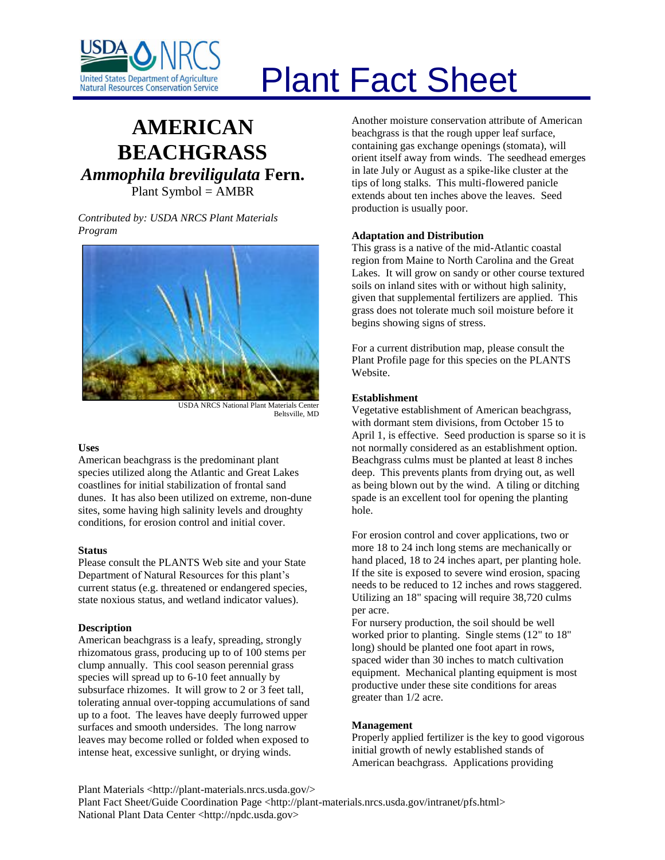

# Plant Fact Sheet

## **AMERICAN BEACHGRASS** *Ammophila breviligulata* **Fern.** Plant Symbol = AMBR

*Contributed by: USDA NRCS Plant Materials Program*



USDA NRCS National Plant Materials Center Beltsville, MD

#### **Uses**

American beachgrass is the predominant plant species utilized along the Atlantic and Great Lakes coastlines for initial stabilization of frontal sand dunes. It has also been utilized on extreme, non-dune sites, some having high salinity levels and droughty conditions, for erosion control and initial cover.

#### **Status**

Please consult the PLANTS Web site and your State Department of Natural Resources for this plant's current status (e.g. threatened or endangered species, state noxious status, and wetland indicator values).

### **Description**

American beachgrass is a leafy, spreading, strongly rhizomatous grass, producing up to of 100 stems per clump annually. This cool season perennial grass species will spread up to 6-10 feet annually by subsurface rhizomes. It will grow to 2 or 3 feet tall, tolerating annual over-topping accumulations of sand up to a foot. The leaves have deeply furrowed upper surfaces and smooth undersides. The long narrow leaves may become rolled or folded when exposed to intense heat, excessive sunlight, or drying winds.

Another moisture conservation attribute of American beachgrass is that the rough upper leaf surface, containing gas exchange openings (stomata), will orient itself away from winds. The seedhead emerges in late July or August as a spike-like cluster at the tips of long stalks. This multi-flowered panicle extends about ten inches above the leaves. Seed production is usually poor.

#### **Adaptation and Distribution**

This grass is a native of the mid-Atlantic coastal region from Maine to North Carolina and the Great Lakes. It will grow on sandy or other course textured soils on inland sites with or without high salinity, given that supplemental fertilizers are applied. This grass does not tolerate much soil moisture before it begins showing signs of stress.

For a current distribution map, please consult the Plant Profile page for this species on the PLANTS Website.

#### **Establishment**

Vegetative establishment of American beachgrass, with dormant stem divisions, from October 15 to April 1, is effective. Seed production is sparse so it is not normally considered as an establishment option. Beachgrass culms must be planted at least 8 inches deep. This prevents plants from drying out, as well as being blown out by the wind. A tiling or ditching spade is an excellent tool for opening the planting hole.

For erosion control and cover applications, two or more 18 to 24 inch long stems are mechanically or hand placed, 18 to 24 inches apart, per planting hole. If the site is exposed to severe wind erosion, spacing needs to be reduced to 12 inches and rows staggered. Utilizing an 18" spacing will require 38,720 culms per acre.

For nursery production, the soil should be well worked prior to planting. Single stems (12" to 18" long) should be planted one foot apart in rows, spaced wider than 30 inches to match cultivation equipment. Mechanical planting equipment is most productive under these site conditions for areas greater than 1/2 acre.

### **Management**

Properly applied fertilizer is the key to good vigorous initial growth of newly established stands of American beachgrass. Applications providing

Plant Materials <http://plant-materials.nrcs.usda.gov/> Plant Fact Sheet/Guide Coordination Page <http://plant-materials.nrcs.usda.gov/intranet/pfs.html> National Plant Data Center <http://npdc.usda.gov>